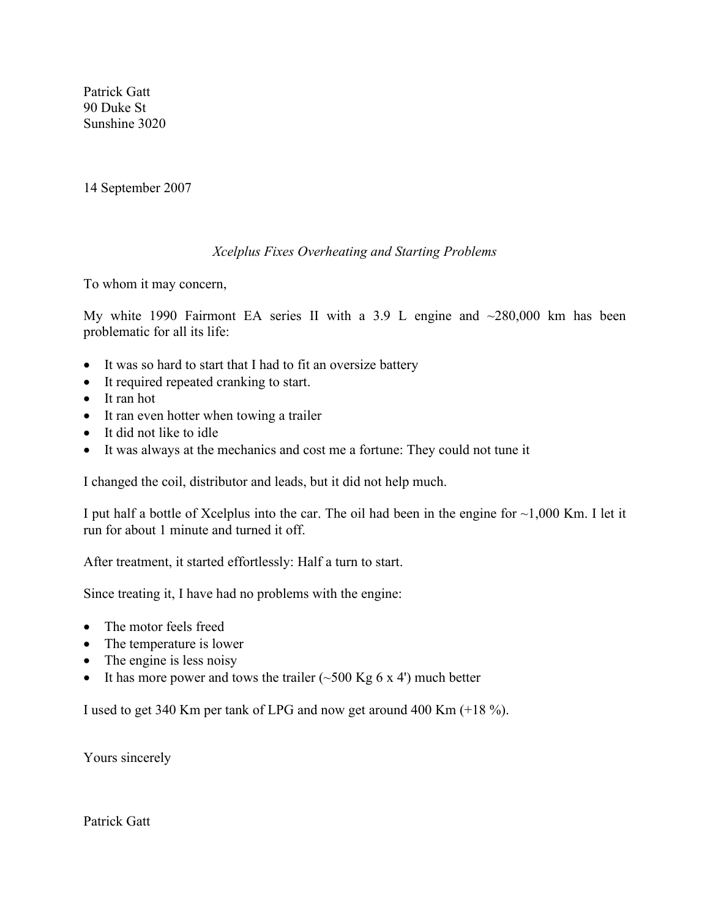Patrick Gatt 90 Duke St Sunshine 3020

14 September 2007

## *Xcelplus Fixes Overheating and Starting Problems*

To whom it may concern,

My white 1990 Fairmont EA series II with a 3.9 L engine and  $\sim$ 280,000 km has been problematic for all its life:

- It was so hard to start that I had to fit an oversize battery
- It required repeated cranking to start.
- It ran hot
- It ran even hotter when towing a trailer
- It did not like to idle
- It was always at the mechanics and cost me a fortune: They could not tune it

I changed the coil, distributor and leads, but it did not help much.

I put half a bottle of Xcelplus into the car. The oil had been in the engine for  $\sim$ 1,000 Km. I let it run for about 1 minute and turned it off.

After treatment, it started effortlessly: Half a turn to start.

Since treating it, I have had no problems with the engine:

- The motor feels freed
- The temperature is lower
- The engine is less noisy
- It has more power and tows the trailer  $(\sim 500 \text{ Kg } 6 \text{ x } 4')$  much better

I used to get 340 Km per tank of LPG and now get around 400 Km (+18 %).

Yours sincerely

Patrick Gatt